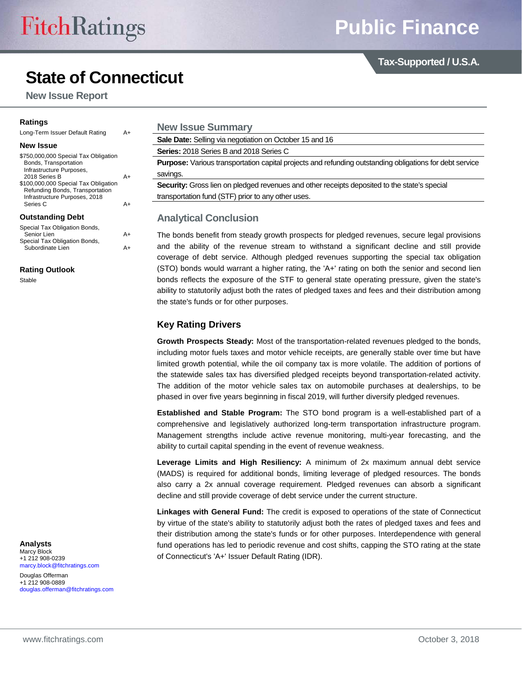**Tax-Supported / U.S.A.**

# **State of Connecticut**

**New Issue Report**

#### **Ratings**

| Lung-Tenn issuer Delault Rating                                                                                                                                                                                                    | <b>A+</b> |
|------------------------------------------------------------------------------------------------------------------------------------------------------------------------------------------------------------------------------------|-----------|
| <b>New Issue</b>                                                                                                                                                                                                                   |           |
| \$750,000,000 Special Tax Obligation<br>Bonds, Transportation<br>Infrastructure Purposes,<br>2018 Series B<br>\$100,000,000 Special Tax Obligation<br>Refunding Bonds, Transportation<br>Infrastructure Purposes, 2018<br>Series C |           |

#### **Outstanding Debt**

| Special Tax Obligation Bonds, |    |
|-------------------------------|----|
| Senior Lien                   | A+ |
| Special Tax Obligation Bonds, |    |
| Subordinate Lien              | A+ |
|                               |    |

#### **Rating Outlook**

Stable

| Long-Term Issuer Default Rating                               | A+ |  |
|---------------------------------------------------------------|----|--|
| New Issue                                                     |    |  |
| \$750,000,000 Special Tax Obligation<br>Bonds, Transportation |    |  |
| Infrastructure Purposes,<br>2018 Series B                     | A+ |  |
| \$100,000,000 Special Tax Obligation                          |    |  |

## **New Issue Summary Sale Date:** Selling via negotiation on October 15 and 16 **Series:** 2018 Series B and 2018 Series C **Purpose:** Various transportation capital projects and refunding outstanding obligations for debt service savings. **Security:** Gross lien on pledged revenues and other receipts deposited to the state's special transportation fund (STF) prior to any other uses.

### **Analytical Conclusion**

The bonds benefit from steady growth prospects for pledged revenues, secure legal provisions and the ability of the revenue stream to withstand a significant decline and still provide coverage of debt service. Although pledged revenues supporting the special tax obligation (STO) bonds would warrant a higher rating, the 'A+' rating on both the senior and second lien bonds reflects the exposure of the STF to general state operating pressure, given the state's ability to statutorily adjust both the rates of pledged taxes and fees and their distribution among the state's funds or for other purposes.

#### **Key Rating Drivers**

**Growth Prospects Steady:** Most of the transportation-related revenues pledged to the bonds, including motor fuels taxes and motor vehicle receipts, are generally stable over time but have limited growth potential, while the oil company tax is more volatile. The addition of portions of the statewide sales tax has diversified pledged receipts beyond transportation-related activity. The addition of the motor vehicle sales tax on automobile purchases at dealerships, to be phased in over five years beginning in fiscal 2019, will further diversify pledged revenues.

**Established and Stable Program:** The STO bond program is a well-established part of a comprehensive and legislatively authorized long-term transportation infrastructure program. Management strengths include active revenue monitoring, multi-year forecasting, and the ability to curtail capital spending in the event of revenue weakness.

**Leverage Limits and High Resiliency:** A minimum of 2x maximum annual debt service (MADS) is required for additional bonds, limiting leverage of pledged resources. The bonds also carry a 2x annual coverage requirement. Pledged revenues can absorb a significant decline and still provide coverage of debt service under the current structure.

**Linkages with General Fund:** The credit is exposed to operations of the state of Connecticut by virtue of the state's ability to statutorily adjust both the rates of pledged taxes and fees and their distribution among the state's funds or for other purposes. Interdependence with general fund operations has led to periodic revenue and cost shifts, capping the STO rating at the state of Connecticut's 'A+' Issuer Default Rating (IDR).

**Analysts** Marcy Block +1 212 908-0239 [marcy.block@fitchratings.com](mailto:marcy.block@fitchratings.com)

Douglas Offerman +1 212 908-0889 [douglas.offerman@fitchratings.com](mailto:douglas.offerman@fitchratings.com)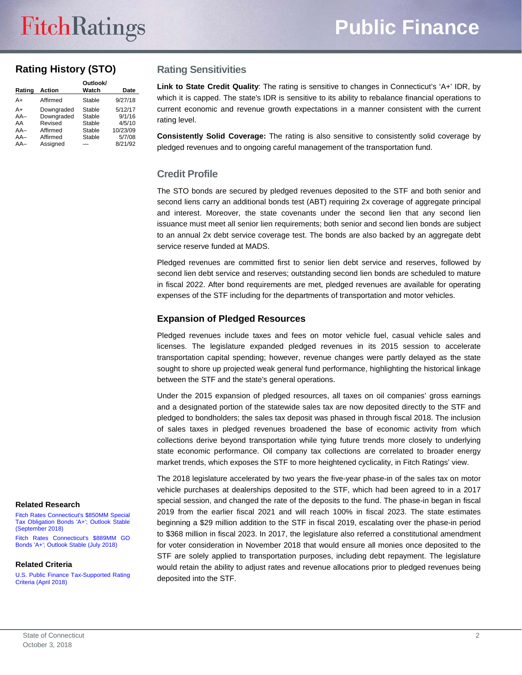# **Rating History (STO)**

| Rating                              | <b>Action</b>                                               | Outlook/<br>Watch                              | <b>Date</b>                                       |
|-------------------------------------|-------------------------------------------------------------|------------------------------------------------|---------------------------------------------------|
| A+                                  | Affirmed                                                    | Stable                                         | 9/27/18                                           |
| A+<br>$AA-$<br>AA<br>$AA-$<br>$AA-$ | Downgraded<br>Downgraded<br>Revised<br>Affirmed<br>Affirmed | Stable<br>Stable<br>Stable<br>Stable<br>Stable | 5/12/17<br>9/1/16<br>4/5/10<br>10/23/09<br>5/7/08 |
| $AA-$                               | Assianed                                                    |                                                | 8/21/92                                           |

### **Rating Sensitivities**

**Link to State Credit Quality**: The rating is sensitive to changes in Connecticut's 'A+' IDR, by which it is capped. The state's IDR is sensitive to its ability to rebalance financial operations to current economic and revenue growth expectations in a manner consistent with the current rating level.

**Consistently Solid Coverage:** The rating is also sensitive to consistently solid coverage by pledged revenues and to ongoing careful management of the transportation fund.

### **Credit Profile**

The STO bonds are secured by pledged revenues deposited to the STF and both senior and second liens carry an additional bonds test (ABT) requiring 2x coverage of aggregate principal and interest. Moreover, the state covenants under the second lien that any second lien issuance must meet all senior lien requirements; both senior and second lien bonds are subject to an annual 2x debt service coverage test. The bonds are also backed by an aggregate debt service reserve funded at MADS.

Pledged revenues are committed first to senior lien debt service and reserves, followed by second lien debt service and reserves; outstanding second lien bonds are scheduled to mature in fiscal 2022. After bond requirements are met, pledged revenues are available for operating expenses of the STF including for the departments of transportation and motor vehicles.

### **Expansion of Pledged Resources**

Pledged revenues include taxes and fees on motor vehicle fuel, casual vehicle sales and licenses. The legislature expanded pledged revenues in its 2015 session to accelerate transportation capital spending; however, revenue changes were partly delayed as the state sought to shore up projected weak general fund performance, highlighting the historical linkage between the STF and the state's general operations.

Under the 2015 expansion of pledged resources, all taxes on oil companies' gross earnings and a designated portion of the statewide sales tax are now deposited directly to the STF and pledged to bondholders; the sales tax deposit was phased in through fiscal 2018. The inclusion of sales taxes in pledged revenues broadened the base of economic activity from which collections derive beyond transportation while tying future trends more closely to underlying state economic performance. Oil company tax collections are correlated to broader energy market trends, which exposes the STF to more heightened cyclicality, in Fitch Ratings' view.

The 2018 legislature accelerated by two years the five-year phase-in of the sales tax on motor vehicle purchases at dealerships deposited to the STF, which had been agreed to in a 2017 special session, and changed the rate of the deposits to the fund. The phase-in began in fiscal 2019 from the earlier fiscal 2021 and will reach 100% in fiscal 2023. The state estimates beginning a \$29 million addition to the STF in fiscal 2019, escalating over the phase-in period to \$368 million in fiscal 2023. In 2017, the legislature also referred a constitutional amendment for voter consideration in November 2018 that would ensure all monies once deposited to the STF are solely applied to transportation purposes, including debt repayment. The legislature would retain the ability to adjust rates and revenue allocations prior to pledged revenues being deposited into the STF.

#### **Related Research**

[Fitch Rates Connecticut's](https://www.fitchratings.com/site/pr/10045620) \$850MM Special Tax Obligation Bonds ['A+'; Outlook Stable](https://www.fitchratings.com/site/pr/10045620)  [\(September](https://www.fitchratings.com/site/pr/10045620) 2018)

[Fitch Rates Connecticut's](https://www.fitchratings.com/site/pr/10038838) \$889MM GO Bonds ['A+'; Outlook Stable \(July](https://www.fitchratings.com/site/pr/10038838) 2018)

#### **Related Criteria**

[U.S. Public Finance Tax-Supported Rating](https://www.fitchratings.com/site/re/10024656)  [Criteria \(April](https://www.fitchratings.com/site/re/10024656) 2018)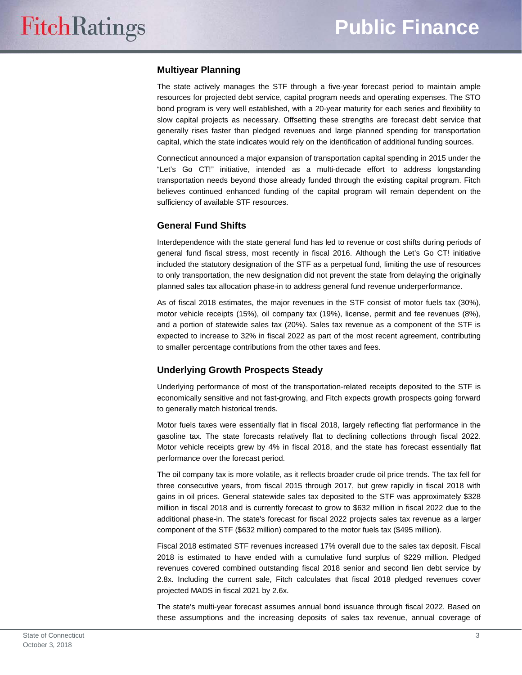### **Multiyear Planning**

The state actively manages the STF through a five-year forecast period to maintain ample resources for projected debt service, capital program needs and operating expenses. The STO bond program is very well established, with a 20-year maturity for each series and flexibility to slow capital projects as necessary. Offsetting these strengths are forecast debt service that generally rises faster than pledged revenues and large planned spending for transportation capital, which the state indicates would rely on the identification of additional funding sources.

Connecticut announced a major expansion of transportation capital spending in 2015 under the "Let's Go CT!" initiative, intended as a multi-decade effort to address longstanding transportation needs beyond those already funded through the existing capital program. Fitch believes continued enhanced funding of the capital program will remain dependent on the sufficiency of available STF resources.

### **General Fund Shifts**

Interdependence with the state general fund has led to revenue or cost shifts during periods of general fund fiscal stress, most recently in fiscal 2016. Although the Let's Go CT! initiative included the statutory designation of the STF as a perpetual fund, limiting the use of resources to only transportation, the new designation did not prevent the state from delaying the originally planned sales tax allocation phase-in to address general fund revenue underperformance.

As of fiscal 2018 estimates, the major revenues in the STF consist of motor fuels tax (30%), motor vehicle receipts (15%), oil company tax (19%), license, permit and fee revenues (8%), and a portion of statewide sales tax (20%). Sales tax revenue as a component of the STF is expected to increase to 32% in fiscal 2022 as part of the most recent agreement, contributing to smaller percentage contributions from the other taxes and fees.

### **Underlying Growth Prospects Steady**

Underlying performance of most of the transportation-related receipts deposited to the STF is economically sensitive and not fast-growing, and Fitch expects growth prospects going forward to generally match historical trends.

Motor fuels taxes were essentially flat in fiscal 2018, largely reflecting flat performance in the gasoline tax. The state forecasts relatively flat to declining collections through fiscal 2022. Motor vehicle receipts grew by 4% in fiscal 2018, and the state has forecast essentially flat performance over the forecast period.

The oil company tax is more volatile, as it reflects broader crude oil price trends. The tax fell for three consecutive years, from fiscal 2015 through 2017, but grew rapidly in fiscal 2018 with gains in oil prices. General statewide sales tax deposited to the STF was approximately \$328 million in fiscal 2018 and is currently forecast to grow to \$632 million in fiscal 2022 due to the additional phase-in. The state's forecast for fiscal 2022 projects sales tax revenue as a larger component of the STF (\$632 million) compared to the motor fuels tax (\$495 million).

Fiscal 2018 estimated STF revenues increased 17% overall due to the sales tax deposit. Fiscal 2018 is estimated to have ended with a cumulative fund surplus of \$229 million. Pledged revenues covered combined outstanding fiscal 2018 senior and second lien debt service by 2.8x. Including the current sale, Fitch calculates that fiscal 2018 pledged revenues cover projected MADS in fiscal 2021 by 2.6x.

The state's multi-year forecast assumes annual bond issuance through fiscal 2022. Based on these assumptions and the increasing deposits of sales tax revenue, annual coverage of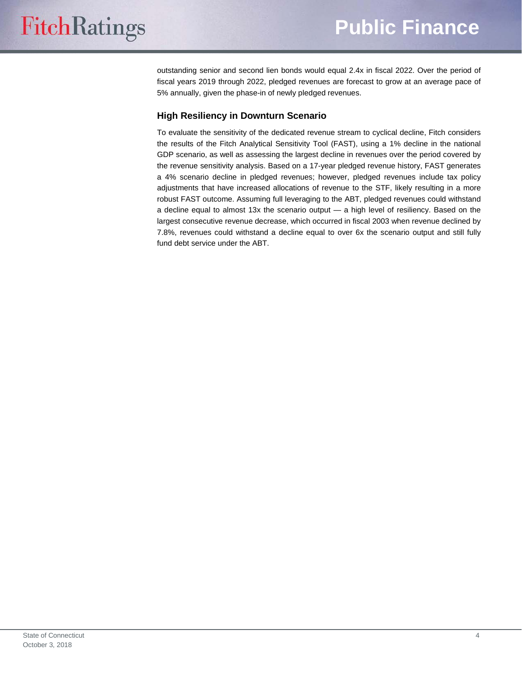outstanding senior and second lien bonds would equal 2.4x in fiscal 2022. Over the period of fiscal years 2019 through 2022, pledged revenues are forecast to grow at an average pace of 5% annually, given the phase-in of newly pledged revenues.

# **High Resiliency in Downturn Scenario**

To evaluate the sensitivity of the dedicated revenue stream to cyclical decline, Fitch considers the results of the Fitch Analytical Sensitivity Tool (FAST), using a 1% decline in the national GDP scenario, as well as assessing the largest decline in revenues over the period covered by the revenue sensitivity analysis. Based on a 17-year pledged revenue history, FAST generates a 4% scenario decline in pledged revenues; however, pledged revenues include tax policy adjustments that have increased allocations of revenue to the STF, likely resulting in a more robust FAST outcome. Assuming full leveraging to the ABT, pledged revenues could withstand a decline equal to almost 13x the scenario output — a high level of resiliency. Based on the largest consecutive revenue decrease, which occurred in fiscal 2003 when revenue declined by 7.8%, revenues could withstand a decline equal to over 6x the scenario output and still fully fund debt service under the ABT.